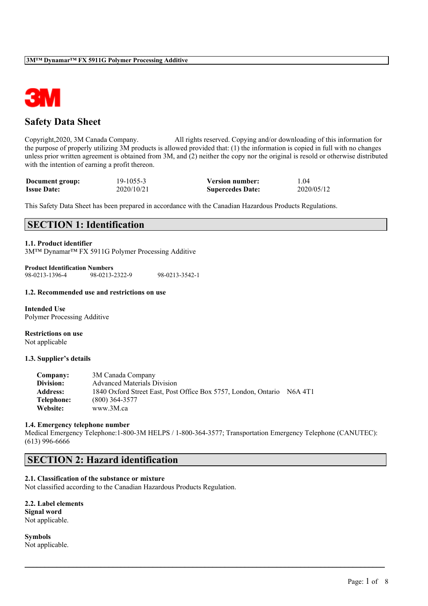

# **Safety Data Sheet**

Copyright,2020, 3M Canada Company. All rights reserved. Copying and/or downloading of this information for the purpose of properly utilizing 3M products is allowed provided that: (1) the information is copied in full with no changes unless prior written agreement is obtained from 3M, and (2) neither the copy nor the original is resold or otherwise distributed with the intention of earning a profit thereon.

| Document group:    | 19-1055-3  | <b>Version number:</b>  | 1.04       |
|--------------------|------------|-------------------------|------------|
| <b>Issue Date:</b> | 2020/10/21 | <b>Supercedes Date:</b> | 2020/05/12 |

This Safety Data Sheet has been prepared in accordance with the Canadian Hazardous Products Regulations.

## **SECTION 1: Identification**

## **1.1. Product identifier**

3M™ Dynamar™ FX 5911G Polymer Processing Additive

**Product Identification Numbers** 98-0213-2322-9 98-0213-3542-1

#### **1.2. Recommended use and restrictions on use**

**Intended Use** Polymer Processing Additive

**Restrictions on use** Not applicable

#### **1.3. Supplier's details**

| Company:        | 3M Canada Company                                              |         |
|-----------------|----------------------------------------------------------------|---------|
| Division:       | <b>Advanced Materials Division</b>                             |         |
| <b>Address:</b> | 1840 Oxford Street East, Post Office Box 5757, London, Ontario | N6A 4T1 |
| Telephone:      | $(800)$ 364-3577                                               |         |
| Website:        | www.3M.ca                                                      |         |

#### **1.4. Emergency telephone number**

Medical Emergency Telephone:1-800-3M HELPS / 1-800-364-3577; Transportation Emergency Telephone (CANUTEC): (613) 996-6666

 $\mathcal{L}_\mathcal{L} = \mathcal{L}_\mathcal{L} = \mathcal{L}_\mathcal{L} = \mathcal{L}_\mathcal{L} = \mathcal{L}_\mathcal{L} = \mathcal{L}_\mathcal{L} = \mathcal{L}_\mathcal{L} = \mathcal{L}_\mathcal{L} = \mathcal{L}_\mathcal{L} = \mathcal{L}_\mathcal{L} = \mathcal{L}_\mathcal{L} = \mathcal{L}_\mathcal{L} = \mathcal{L}_\mathcal{L} = \mathcal{L}_\mathcal{L} = \mathcal{L}_\mathcal{L} = \mathcal{L}_\mathcal{L} = \mathcal{L}_\mathcal{L}$ 

## **SECTION 2: Hazard identification**

# **2.1. Classification of the substance or mixture**

Not classified according to the Canadian Hazardous Products Regulation.

| 2.2. Label elements |
|---------------------|
| Signal word         |
| Not applicable.     |

**Symbols** Not applicable.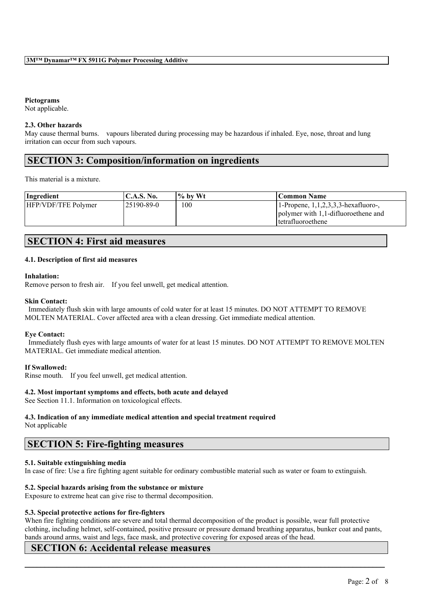## **Pictograms**

Not applicable.

### **2.3. Other hazards**

May cause thermal burns. vapours liberated during processing may be hazardous if inhaled. Eye, nose, throat and lung irritation can occur from such vapours.

## **SECTION 3: Composition/information on ingredients**

This material is a mixture.

| Ingredient                 | 'C.A.S. No. | $\%$ by Wt | Common Name                                                                                                      |
|----------------------------|-------------|------------|------------------------------------------------------------------------------------------------------------------|
| <b>HFP/VDF/TFE Polymer</b> | 125190-89-0 | 100        | $1$ -Propene, $1, 1, 2, 3, 3$ -hexafluoro-,<br>polymer with 1,1-difluoroethene and<br><i>l</i> tetrafluoroethene |

## **SECTION 4: First aid measures**

### **4.1. Description of first aid measures**

#### **Inhalation:**

Remove person to fresh air. If you feel unwell, get medical attention.

#### **Skin Contact:**

Immediately flush skin with large amounts of cold water for at least 15 minutes. DO NOT ATTEMPT TO REMOVE MOLTEN MATERIAL. Cover affected area with a clean dressing. Get immediate medical attention.

## **Eye Contact:**

Immediately flush eyes with large amounts of water for at least 15 minutes. DO NOT ATTEMPT TO REMOVE MOLTEN MATERIAL. Get immediate medical attention.

## **If Swallowed:**

Rinse mouth. If you feel unwell, get medical attention.

## **4.2. Most important symptoms and effects, both acute and delayed**

See Section 11.1. Information on toxicological effects.

## **4.3. Indication of any immediate medical attention and special treatment required**

Not applicable

## **SECTION 5: Fire-fighting measures**

## **5.1. Suitable extinguishing media**

In case of fire: Use a fire fighting agent suitable for ordinary combustible material such as water or foam to extinguish.

#### **5.2. Special hazards arising from the substance or mixture**

Exposure to extreme heat can give rise to thermal decomposition.

## **5.3. Special protective actions for fire-fighters**

When fire fighting conditions are severe and total thermal decomposition of the product is possible, wear full protective clothing, including helmet, self-contained, positive pressure or pressure demand breathing apparatus, bunker coat and pants, bands around arms, waist and legs, face mask, and protective covering for exposed areas of the head.

 $\mathcal{L}_\mathcal{L} = \mathcal{L}_\mathcal{L} = \mathcal{L}_\mathcal{L} = \mathcal{L}_\mathcal{L} = \mathcal{L}_\mathcal{L} = \mathcal{L}_\mathcal{L} = \mathcal{L}_\mathcal{L} = \mathcal{L}_\mathcal{L} = \mathcal{L}_\mathcal{L} = \mathcal{L}_\mathcal{L} = \mathcal{L}_\mathcal{L} = \mathcal{L}_\mathcal{L} = \mathcal{L}_\mathcal{L} = \mathcal{L}_\mathcal{L} = \mathcal{L}_\mathcal{L} = \mathcal{L}_\mathcal{L} = \mathcal{L}_\mathcal{L}$ 

## **SECTION 6: Accidental release measures**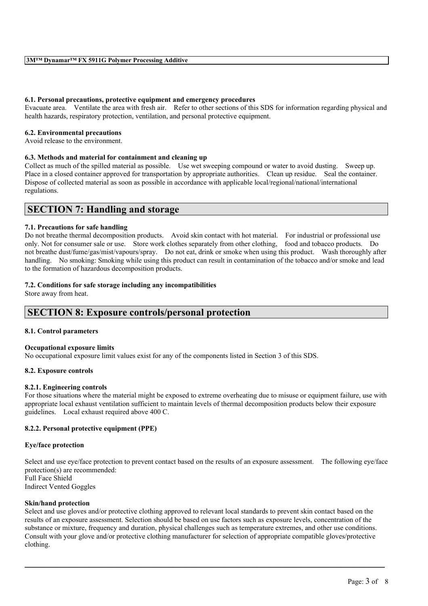### **6.1. Personal precautions, protective equipment and emergency procedures**

Evacuate area. Ventilate the area with fresh air. Refer to other sections of this SDS for information regarding physical and health hazards, respiratory protection, ventilation, and personal protective equipment.

#### **6.2. Environmental precautions**

Avoid release to the environment.

### **6.3. Methods and material for containment and cleaning up**

Collect as much of the spilled material as possible. Use wet sweeping compound or water to avoid dusting. Sweep up. Place in a closed container approved for transportation by appropriate authorities. Clean up residue. Seal the container. Dispose of collected material as soon as possible in accordance with applicable local/regional/national/international regulations.

## **SECTION 7: Handling and storage**

### **7.1. Precautions for safe handling**

Do not breathe thermal decomposition products. Avoid skin contact with hot material. For industrial or professional use only. Not for consumer sale or use. Store work clothes separately from other clothing, food and tobacco products. Do not breathe dust/fume/gas/mist/vapours/spray. Do not eat, drink or smoke when using this product. Wash thoroughly after handling. No smoking: Smoking while using this product can result in contamination of the tobacco and/or smoke and lead to the formation of hazardous decomposition products.

### **7.2. Conditions for safe storage including any incompatibilities**

Store away from heat.

## **SECTION 8: Exposure controls/personal protection**

#### **8.1. Control parameters**

#### **Occupational exposure limits**

No occupational exposure limit values exist for any of the components listed in Section 3 of this SDS.

#### **8.2. Exposure controls**

#### **8.2.1. Engineering controls**

For those situations where the material might be exposed to extreme overheating due to misuse or equipment failure, use with appropriate local exhaust ventilation sufficient to maintain levels of thermal decomposition products below their exposure guidelines. Local exhaust required above 400 C.

## **8.2.2. Personal protective equipment (PPE)**

#### **Eye/face protection**

Select and use eye/face protection to prevent contact based on the results of an exposure assessment. The following eye/face protection(s) are recommended: Full Face Shield Indirect Vented Goggles

## **Skin/hand protection**

Select and use gloves and/or protective clothing approved to relevant local standards to prevent skin contact based on the results of an exposure assessment. Selection should be based on use factors such as exposure levels, concentration of the substance or mixture, frequency and duration, physical challenges such as temperature extremes, and other use conditions. Consult with your glove and/or protective clothing manufacturer for selection of appropriate compatible gloves/protective clothing.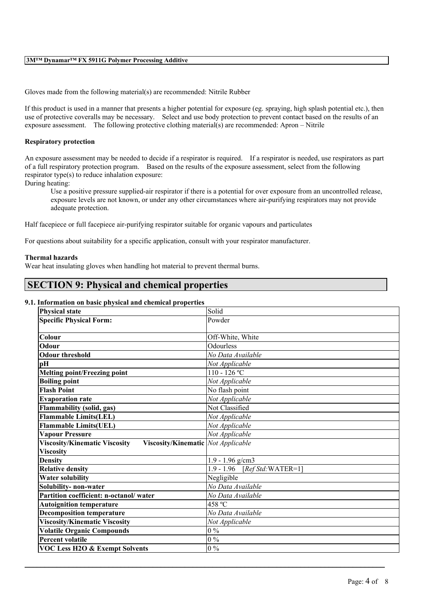#### **3M™ Dynamar™ FX 5911G Polymer Processing Additive**

Gloves made from the following material(s) are recommended: Nitrile Rubber

If this product is used in a manner that presents a higher potential for exposure (eg. spraying, high splash potential etc.), then use of protective coveralls may be necessary. Select and use body protection to prevent contact based on the results of an exposure assessment. The following protective clothing material(s) are recommended: Apron – Nitrile

### **Respiratory protection**

An exposure assessment may be needed to decide if a respirator is required. If a respirator is needed, use respirators as part of a full respiratory protection program. Based on the results of the exposure assessment, select from the following respirator type(s) to reduce inhalation exposure:

During heating:

Use a positive pressure supplied-air respirator if there is a potential for over exposure from an uncontrolled release, exposure levels are not known, or under any other circumstances where air-purifying respirators may not provide adequate protection.

Half facepiece or full facepiece air-purifying respirator suitable for organic vapours and particulates

For questions about suitability for a specific application, consult with your respirator manufacturer.

#### **Thermal hazards**

Wear heat insulating gloves when handling hot material to prevent thermal burns.

## **SECTION 9: Physical and chemical properties**

### **9.1. Information on basic physical and chemical properties**

| <b>Physical state</b>                                                             | Solid                              |
|-----------------------------------------------------------------------------------|------------------------------------|
| <b>Specific Physical Form:</b>                                                    | Powder                             |
|                                                                                   |                                    |
| Colour                                                                            | Off-White, White                   |
| Odour                                                                             | Odourless                          |
| <b>Odour threshold</b>                                                            | No Data Available                  |
| pН                                                                                | Not Applicable                     |
| <b>Melting point/Freezing point</b>                                               | $110 - 126$ °C                     |
| <b>Boiling point</b>                                                              | Not Applicable                     |
| <b>Flash Point</b>                                                                | No flash point                     |
| <b>Evaporation rate</b>                                                           | Not Applicable                     |
| Flammability (solid, gas)                                                         | Not Classified                     |
| <b>Flammable Limits(LEL)</b>                                                      | Not Applicable                     |
| <b>Flammable Limits(UEL)</b>                                                      | Not Applicable                     |
| <b>Vapour Pressure</b>                                                            | Not Applicable                     |
| <b>Viscosity/Kinematic Viscosity</b><br><b>Viscosity/Kinematic</b> Not Applicable |                                    |
| <b>Viscosity</b>                                                                  |                                    |
| <b>Density</b>                                                                    | $1.9 - 1.96$ g/cm3                 |
| <b>Relative density</b>                                                           | $1.9 - 1.96$<br>$[RefStd:WATER=1]$ |
| <b>Water solubility</b>                                                           | Negligible                         |
| Solubility- non-water                                                             | No Data Available                  |
| Partition coefficient: n-octanol/water                                            | No Data Available                  |
| <b>Autoignition temperature</b>                                                   | 458 °C                             |
| <b>Decomposition temperature</b>                                                  | No Data Available                  |
| <b>Viscosity/Kinematic Viscosity</b>                                              | Not Applicable                     |
| <b>Volatile Organic Compounds</b>                                                 | $0\%$                              |
| <b>Percent volatile</b>                                                           | $0\%$                              |
| <b>VOC Less H2O &amp; Exempt Solvents</b>                                         | $0\ \%$                            |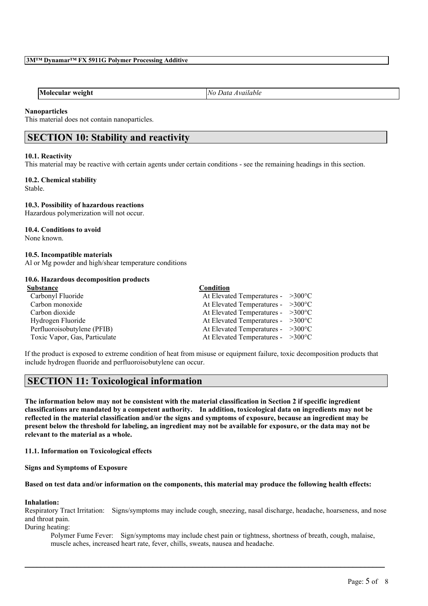**Molecular weight** *No Data Available*

## **Nanoparticles**

This material does not contain nanoparticles.

# **SECTION 10: Stability and reactivity**

## **10.1. Reactivity**

This material may be reactive with certain agents under certain conditions - see the remaining headings in this section.

## **10.2. Chemical stability**

Stable.

## **10.3. Possibility of hazardous reactions**

Hazardous polymerization will not occur.

## **10.4. Conditions to avoid**

None known.

## **10.5. Incompatible materials**

Al or Mg powder and high/shear temperature conditions

## **10.6. Hazardous decomposition products**

| Substance                     | Condition                                   |  |
|-------------------------------|---------------------------------------------|--|
| Carbonyl Fluoride             | At Elevated Temperatures - $>300^{\circ}$ C |  |
| Carbon monoxide               | At Elevated Temperatures - $>300^{\circ}$ C |  |
| Carbon dioxide                | At Elevated Temperatures - $>300^{\circ}$ C |  |
| Hydrogen Fluoride             | At Elevated Temperatures - $>300^{\circ}$ C |  |
| Perfluoroisobutylene (PFIB)   | At Elevated Temperatures - $>300^{\circ}$ C |  |
| Toxic Vapor, Gas, Particulate | At Elevated Temperatures - $>300^{\circ}$ C |  |

If the product is exposed to extreme condition of heat from misuse or equipment failure, toxic decomposition products that include hydrogen fluoride and perfluoroisobutylene can occur.

## **SECTION 11: Toxicological information**

The information below may not be consistent with the material classification in Section 2 if specific ingredient **classifications are mandated by a competent authority. In addition, toxicological data on ingredients may not be** reflected in the material classification and/or the signs and symptoms of exposure, because an ingredient may be present below the threshold for labeling, an ingredient may not be available for exposure, or the data may not be **relevant to the material as a whole.**

**11.1. Information on Toxicological effects**

**Signs and Symptoms of Exposure**

#### Based on test data and/or information on the components, this material may produce the following health effects:

## **Inhalation:**

Respiratory Tract Irritation: Signs/symptoms may include cough, sneezing, nasal discharge, headache, hoarseness, and nose and throat pain.

 $\mathcal{L}_\mathcal{L} = \mathcal{L}_\mathcal{L} = \mathcal{L}_\mathcal{L} = \mathcal{L}_\mathcal{L} = \mathcal{L}_\mathcal{L} = \mathcal{L}_\mathcal{L} = \mathcal{L}_\mathcal{L} = \mathcal{L}_\mathcal{L} = \mathcal{L}_\mathcal{L} = \mathcal{L}_\mathcal{L} = \mathcal{L}_\mathcal{L} = \mathcal{L}_\mathcal{L} = \mathcal{L}_\mathcal{L} = \mathcal{L}_\mathcal{L} = \mathcal{L}_\mathcal{L} = \mathcal{L}_\mathcal{L} = \mathcal{L}_\mathcal{L}$ 

During heating:

Polymer Fume Fever: Sign/symptoms may include chest pain or tightness, shortness of breath, cough, malaise, muscle aches, increased heart rate, fever, chills, sweats, nausea and headache.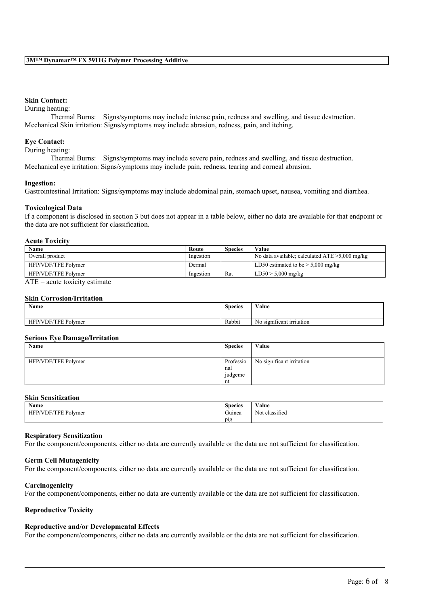## **Skin Contact:**

#### During heating:

Thermal Burns: Signs/symptoms may include intense pain, redness and swelling, and tissue destruction. Mechanical Skin irritation: Signs/symptoms may include abrasion, redness, pain, and itching.

### **Eye Contact:**

During heating:

Thermal Burns: Signs/symptoms may include severe pain, redness and swelling, and tissue destruction. Mechanical eye irritation: Signs/symptoms may include pain, redness, tearing and corneal abrasion.

#### **Ingestion:**

Gastrointestinal Irritation: Signs/symptoms may include abdominal pain, stomach upset, nausea, vomiting and diarrhea.

#### **Toxicological Data**

If a component is disclosed in section 3 but does not appear in a table below, either no data are available for that endpoint or the data are not sufficient for classification.

### **Acute Toxicity**

| Name                | Route     | <b>Species</b> | Value                                             |
|---------------------|-----------|----------------|---------------------------------------------------|
| Overall product     | Ingestion |                | No data available; calculated $ATE > 5,000$ mg/kg |
| HFP/VDF/TFE Polymer | Dermal    |                | LD50 estimated to be $> 5,000$ mg/kg              |
| HFP/VDF/TFE Polymer | Ingestion | Rat            | $LD50 > 5,000$ mg/kg                              |

 $ATE = acute$  toxicity estimate

#### **Skin Corrosion/Irritation**

| Name                             | <b>Species</b> | Value                               |
|----------------------------------|----------------|-------------------------------------|
| HFP/VDF/TFE<br>$\sim$<br>Polymer | Rabbit         | $\sim$<br>No significant irritation |

#### **Serious Eye Damage/Irritation**

| __<br>Name          | <b>Species</b>                    | Value                     |
|---------------------|-----------------------------------|---------------------------|
| HFP/VDF/TFE Polymer | Professio<br>nal<br>judgeme<br>nt | No significant irritation |

### **Skin Sensitization**

| <b>Name</b>                | <b>Species</b>   | <b>WY 3</b><br>Value     |
|----------------------------|------------------|--------------------------|
| /VDF/TFF<br>Polymer<br>HFP | $\sim$<br>Guinea | $\sim$<br>Not classified |
|                            | $p_1g$<br>1 U    |                          |

### **Respiratory Sensitization**

For the component/components, either no data are currently available or the data are not sufficient for classification.

## **Germ Cell Mutagenicity**

For the component/components, either no data are currently available or the data are not sufficient for classification.

#### **Carcinogenicity**

For the component/components, either no data are currently available or the data are not sufficient for classification.

#### **Reproductive Toxicity**

#### **Reproductive and/or Developmental Effects**

For the component/components, either no data are currently available or the data are not sufficient for classification.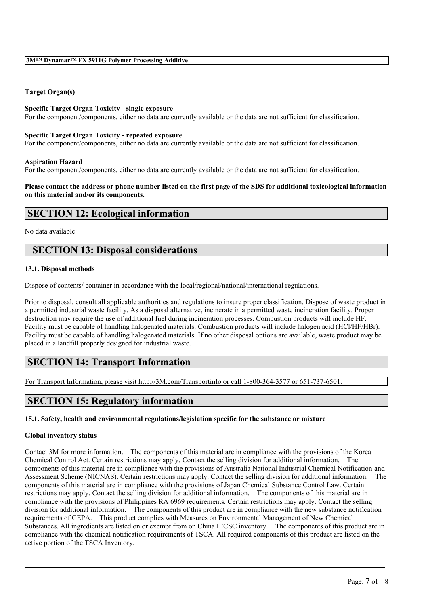## **Target Organ(s)**

### **Specific Target Organ Toxicity - single exposure**

For the component/components, either no data are currently available or the data are not sufficient for classification.

#### **Specific Target Organ Toxicity - repeated exposure**

For the component/components, either no data are currently available or the data are not sufficient for classification.

### **Aspiration Hazard**

For the component/components, either no data are currently available or the data are not sufficient for classification.

### Please contact the address or phone number listed on the first page of the SDS for additional toxicological information **on this material and/or its components.**

## **SECTION 12: Ecological information**

### No data available.

## **SECTION 13: Disposal considerations**

## **13.1. Disposal methods**

Dispose of contents/ container in accordance with the local/regional/national/international regulations.

Prior to disposal, consult all applicable authorities and regulations to insure proper classification. Dispose of waste product in a permitted industrial waste facility. As a disposal alternative, incinerate in a permitted waste incineration facility. Proper destruction may require the use of additional fuel during incineration processes. Combustion products will include HF. Facility must be capable of handling halogenated materials. Combustion products will include halogen acid (HCl/HF/HBr). Facility must be capable of handling halogenated materials. If no other disposal options are available, waste product may be placed in a landfill properly designed for industrial waste.

# **SECTION 14: Transport Information**

For Transport Information, please visit http://3M.com/Transportinfo or call 1-800-364-3577 or 651-737-6501.

# **SECTION 15: Regulatory information**

## **15.1. Safety, health and environmental regulations/legislation specific for the substance or mixture**

#### **Global inventory status**

Contact 3M for more information. The components of this material are in compliance with the provisions of the Korea Chemical Control Act. Certain restrictions may apply. Contact the selling division for additional information. The components of this material are in compliance with the provisions of Australia National Industrial Chemical Notification and Assessment Scheme (NICNAS). Certain restrictions may apply. Contact the selling division for additional information. The components of this material are in compliance with the provisions of Japan Chemical Substance Control Law. Certain restrictions may apply. Contact the selling division for additional information. The components of this material are in compliance with the provisions of Philippines RA 6969 requirements. Certain restrictions may apply. Contact the selling division for additional information. The components of this product are in compliance with the new substance notification requirements of CEPA. This product complies with Measures on Environmental Management of New Chemical Substances. All ingredients are listed on or exempt from on China IECSC inventory. The components of this product are in compliance with the chemical notification requirements of TSCA. All required components of this product are listed on the active portion of the TSCA Inventory.